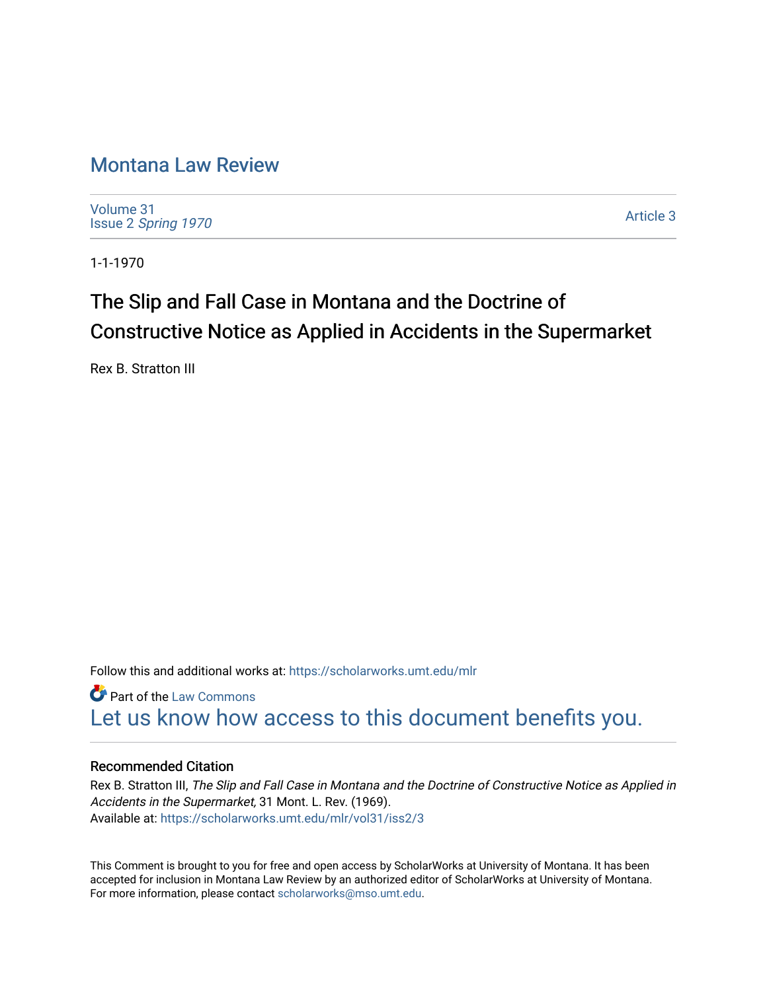## [Montana Law Review](https://scholarworks.umt.edu/mlr)

[Volume 31](https://scholarworks.umt.edu/mlr/vol31) Issue 2 [Spring 1970](https://scholarworks.umt.edu/mlr/vol31/iss2) 

[Article 3](https://scholarworks.umt.edu/mlr/vol31/iss2/3) 

1-1-1970

# The Slip and Fall Case in Montana and the Doctrine of Constructive Notice as Applied in Accidents in the Supermarket

Rex B. Stratton III

Follow this and additional works at: [https://scholarworks.umt.edu/mlr](https://scholarworks.umt.edu/mlr?utm_source=scholarworks.umt.edu%2Fmlr%2Fvol31%2Fiss2%2F3&utm_medium=PDF&utm_campaign=PDFCoverPages) 

Part of the [Law Commons](http://network.bepress.com/hgg/discipline/578?utm_source=scholarworks.umt.edu%2Fmlr%2Fvol31%2Fiss2%2F3&utm_medium=PDF&utm_campaign=PDFCoverPages) [Let us know how access to this document benefits you.](https://goo.gl/forms/s2rGfXOLzz71qgsB2) 

#### Recommended Citation

Rex B. Stratton III, The Slip and Fall Case in Montana and the Doctrine of Constructive Notice as Applied in Accidents in the Supermarket, 31 Mont. L. Rev. (1969). Available at: [https://scholarworks.umt.edu/mlr/vol31/iss2/3](https://scholarworks.umt.edu/mlr/vol31/iss2/3?utm_source=scholarworks.umt.edu%2Fmlr%2Fvol31%2Fiss2%2F3&utm_medium=PDF&utm_campaign=PDFCoverPages) 

This Comment is brought to you for free and open access by ScholarWorks at University of Montana. It has been accepted for inclusion in Montana Law Review by an authorized editor of ScholarWorks at University of Montana. For more information, please contact [scholarworks@mso.umt.edu.](mailto:scholarworks@mso.umt.edu)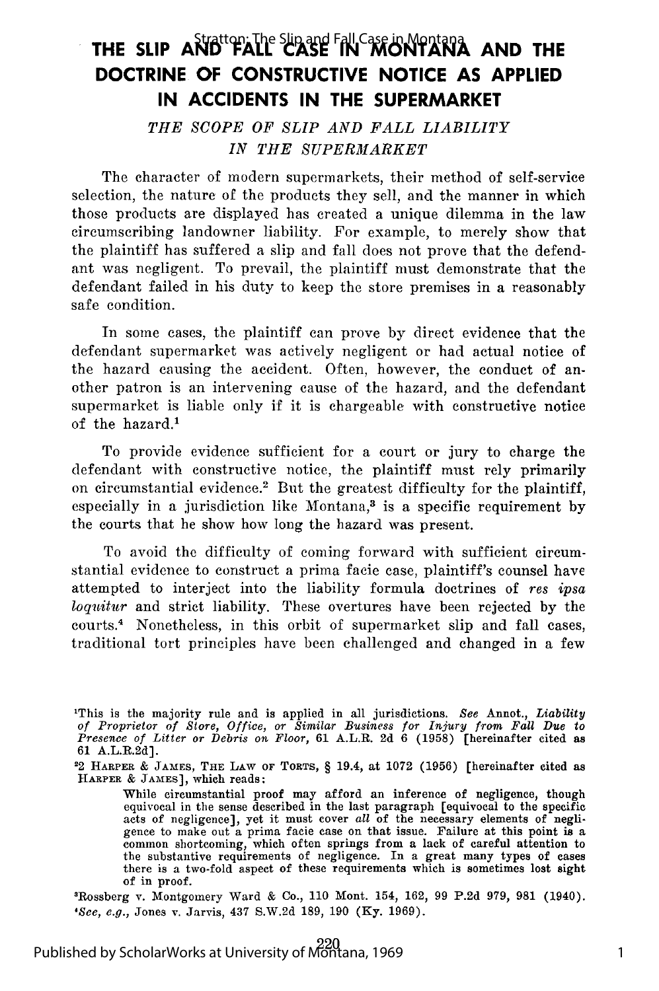## THE SLIP AND<sup>tton</sup>iathe Slip and Fall Case in Montan**a and The DOCTRINE OF CONSTRUCTIVE NOTICE AS APPLIED IN ACCIDENTS IN THE SUPERMARKET**

*THE SCOPE OF SLIP AND FALL LIABILITY IN THE SUPERMARKET*

The character of modern supermarkets, their method of self-service selection, the nature of the products they sell, and the manner in which those products are displayed has created a unique dilemma in the law circumscribing landowner liability. For example, to merely show that the plaintiff has suffered a slip and fall does not prove that the defendant was negligent. To prevail, the plaintiff must demonstrate that the defendant failed in his duty to keep the store premises in a reasonably safe condition.

In some cases, the plaintiff can prove by direct evidence that the defendant supermarket was actively negligent or had actual notice of the hazard causing the accident. Often, however, the conduct of another patron is an intervening cause of the hazard, and the defendant supermarket is liable only if it is chargeable with constructive notice of the hazard.'

To provide evidence sufficient for a court or jury to charge the defendant with constructive notice, the plaintiff must rely primarily on circumstantial evidence.<sup>2</sup> But the greatest difficulty for the plaintiff, especially in a jurisdiction like Montana, $3$  is a specific requirement by the courts that he show how long the hazard was present.

To avoid the difficulty of coming forward with sufficient circumstantial evidence to construct a prima facie case, plaintiff's counsel have attempted to interject into the liability formula doctrines of *res ipsa loquitur* and strict liability. These overtures have been rejected by the courts.4 Nonetheless, in this orbit of supermarket slip and fall cases, traditional tort principles have been challenged and changed in a few

22 HARPER & JAMES, THE LAW OF TORTS, § 19.4, at **1072 (1956)** [hereinafter cited as HARPER **&** JAMES], which reads:

3Rossberg v. Montgomery Ward & Co., 110 Mont. 154, 162, 99 P.2d 979, 981 (1940). *'See, e.g.,* Jones v. Jarvis, 437 S.W.2d 189, 190 (Ky. 1969).

This is the majority rule and is applied in all jurisdictions. See Annot., Liability<br>of Proprietor of Store, Office, or Similar Business for Injury from Fall Due to<br>Presence of Litter or Debris on Floor, 61 A.L.R. 2d 6 (19 61 A.L.R.2d].

While circumstantial proof may afford an inference of negligence, though equivocal in the sense described in the last paragraph [equivocal to the specific acts of negligence], yet it must cover *all* of the necessary elements of negligence to make out a prima facie case on that issue. Failure at this point is a common shortcoming, which often springs from a lack of careful attention to common shortcoming, which often springs from a lack of careful attention to the substantive requirements of negligence. In a great many types of cases there is a two-fold aspect of these requirements which is sometimes los of in proof.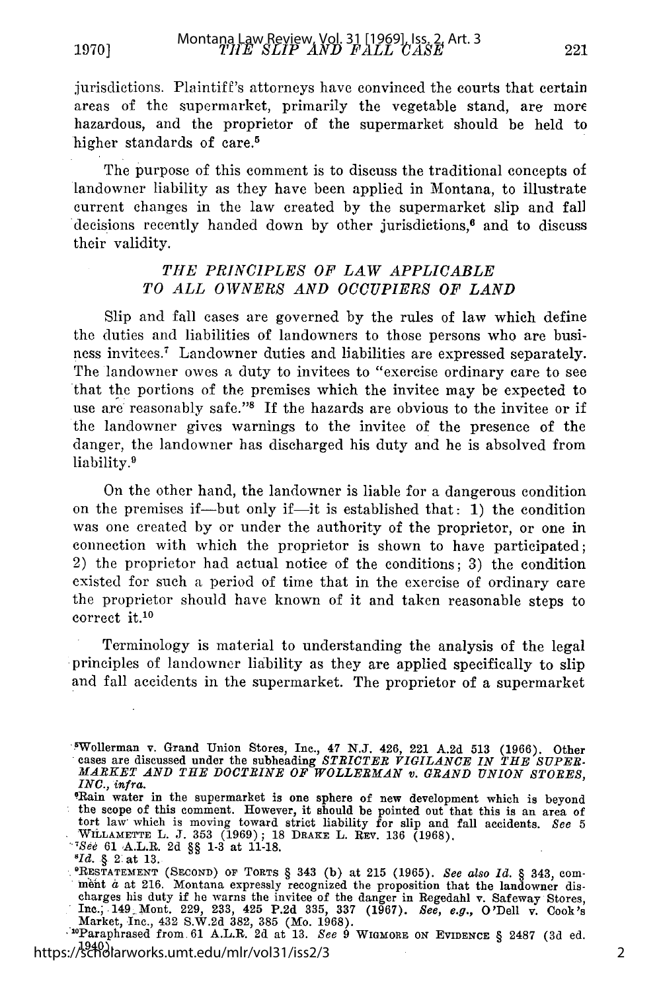jurisdictions. Plaintiff's attorneys have convinced the courts that certain areas of the supermarket, primarily the vegetable stand, are more hazardous, and the proprietor of the supermarket should be held to higher standards of care.<sup>5</sup>

The purpose of this comment is to discuss the traditional concepts of landowner liability as they have been applied in Montana, to illustrate current changes in the law created by the supermarket slip and fall decisions recently handed down by other jurisdictions, $\mathfrak{g}$  and to discuss their validity.

#### *THE PRINCIPLES OF LAW APPLICABLE TO ALL OWNERS AND OCCUPIERS OF LAND*

Slip and fall cases are governed by the rules of law which define the duties and liabilities of landowners to those persons who are business invitees.<sup>7</sup> Landowner duties and liabilities are expressed separately. The landowner owes a duty to invitees to "exercise ordinary care to see that the portions of the premises which the invitee may be expected to use are reasonably safe."<sup>8</sup> If the hazards are obvious to the invitee or if the landowner gives warnings to the invitee of the presence of the danger, the landowner has discharged his duty and he is absolved from liability.9

On the other hand, the landowner is liable for a dangerous condition on the premises if-but only if-it is established that: 1) the condition was one created by or under the authority of the proprietor, or one in connection with which the proprietor is shown to have participated; 2) the proprietor had actual notice of the conditions; 3) the condition existed for such a period of time that in the exercise of ordinary care the proprietor should have known of it and taken reasonable steps to correct it.<sup>10</sup>

Terminology is material to understanding the analysis of the legal principles of landowner liability as they are applied specifically to slip and fall accidents in the supermarket. The proprietor of a supermarket

1940). https://scholarworks.umt.edu/mlr/vol31/iss2/3

Wollerman v. Grand Union Stores, Inc., 47 N.J. 426, 221 A.2d 513 (1966). Other cases are discussed under the subheading STRICTER VIGILANCE IN THE SUPER MARKET AND THE DOCTRINE OF WOLLERMAN v. GRAND UNION STORES *INC., infra.*<br>"Rain water in the supermarket is one sphere of new development which is beyond

the scope of this comment. However, it should be pointed out that this is an area of tort law which is moving toward strict liability for slip and fall accidents. *See 5* WILLAMETTE L. J. 353 (1969); 18 DRAKE L. REV. 136 (1968).

*See* 61 ,A.L.R. 2d §§ **1-3** at **11-18.**

*<sup>&#</sup>x27;Id. §* 2 at **13.** ORESTATE3MENT (SEcoND) **OF** TORTS § 343 (b) at 215 (1965). *See also Id. §* 343, com- hiht *a* at 216. Montana expressly recognized the proposition that the landowner discharges his duty if he warns the invitee of the danger in Regedahl v. Safeway Stores, Inc., .149 Mont. 229, 233, 425 P.2d 335, 337 (1967). *See, e.g.,* O'Dell v. Cook's Market, Inc., 432 S.W.2d 382, 385 (Mo. 1968).  $(2501, 2001, 2001, 2001, 2001, 2001, 2001, 2001, 2001, 2001, 2001, 2001, 2001, 2001, 2001, 2001, 2001, 2001, 2001, 2001, 2001, 2001, 2001, 2001, 2001, 2001, 2001, 2001, 2001,$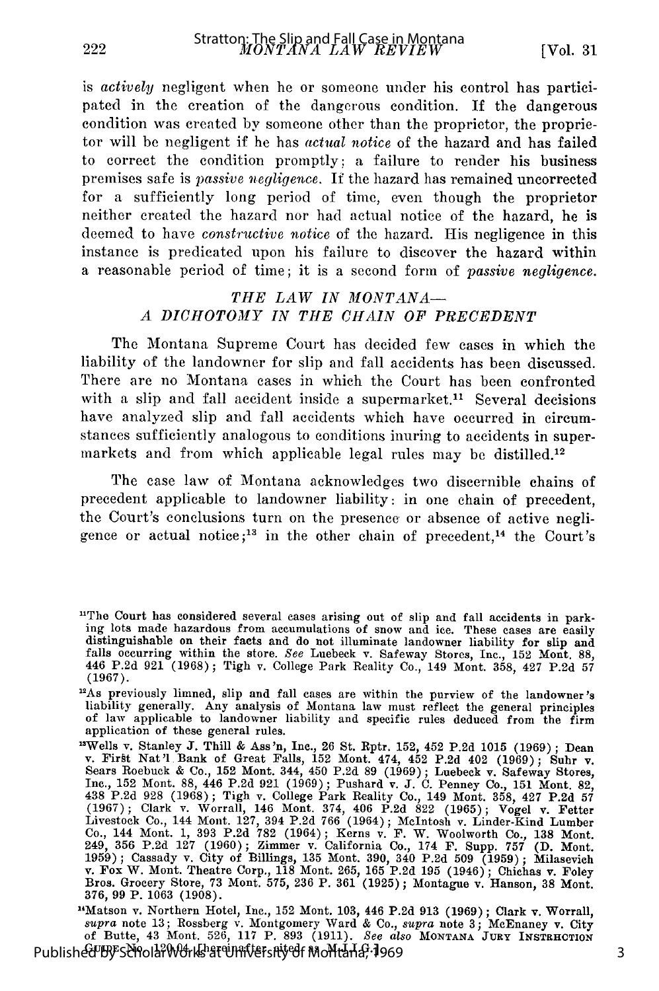3

is *actively* negligent when he or someone under his control has participated in the creation of the dangerous condition. If the dangerous condition was created by someone other than the proprietor, the proprietor will be negligent if he has *actual notice* of the hazard and has failed to correct the condition promptly: a failure to render his business premises safe is *passive negligence.* If the hazard has remained uncorrected for a sufficiently long period of time, even though the proprietor neither created the hazard nor had actual notice of the hazard, he is deemed to have *constructive notice* of the hazard. His negligence in this instance is predicated upon his failure to discover the hazard within a reasonable period of time; it is a second form of *passive negligence.*

#### *THE LAW IN MONTANA-A DICHOTOMY IN THE CHAIN OF PRECEDENT*

The Montana Supreme Court has decided few cases in which the liability of the landowner for slip and fall accidents has been discussed. There are no Montana cases in which the Court has been confronted with a slip and fall accident inside a supermarket.<sup>11</sup> Several decisions have analyzed slip and fall accidents which have occurred in circumstances sufficiently analogous to conditions inuring to accidents in supermarkets and from which applicable legal rules may be distilled.<sup>12</sup>

The case law of Montana acknowledges two discernible chains of precedent applicable to landowner liability: in one chain of precedent, the Court's conclusions turn on the presence or absence of active negligence or actual notice;<sup>13</sup> in the other chain of precedent,<sup>14</sup> the Court's

<sup>14</sup>Matson v. Northern Hotel, Inc., 152 Mont. 103, 446 P.2d 913 (1969); Clark v. Worrall *supra* note 13; Rossberg v. Montgomery Ward & Co., *supra* note 3; McEnaney v. City of Butte, 43 Mont. 526, 117 P. 893 (1911). *See* Published By ScholarWorks at University of Montana, 1969

<sup>&</sup>lt;sup>11</sup>The Court has considered several cases arising out of slip and fall accidents in parking lots made hazardous from accumulations of snow and ice. These cases are easily distinguishable on their facts and do not illuminate landowner liability for slip and falls occurring within the store. *See* Luebeck v. Safeway Stores, Inc., 152 Mont. 88, 446 P.2d 921 (1968); Tigh v. College Park Reality Co., 149 Mont. 358, 427 P.2d 57 (1967).

<sup>&</sup>quot;As previously limned, slip and fall cases are within the purview of the landowner's liability generally. Any analysis of Montana law must reflect the general principles of law applicable to landowner liability and specific rules deduced from the firm application of these general rules.

<sup>&</sup>lt;sup>13</sup>Wells v. Stanley J. Thill & Ass'n, Inc., 26 St. Rptr. 152, 452 P.2d 1015 (1969); Dean v. First Nat'l Bank of Great Falls, 152 Mont. 474, 452 P.2d 402 (1969); Suhr v. Sears Roebuck & Co., 152 Mont. 344, 450 P.2d 89 (1969); Luebeck v. Safeway Stores Inc., 152 Mont. 88, 446 P.2d 921 (1969); Pushard v. J. C. Penney Co., 151 Mont. 82, 438 P.2d 928 (1968); Tigh v. College Park Reality Co., 149 Mont. 358, 427 P.2d 57 (1967); Clark v. Worrall, 146 Mont. 374, 406 P.2d 822 (1965); Vogel v. Fetter Livestock Co., 144 Mont. 127, 394 P.2d 766 (1964); McIntosh v. Linder-Kind Lumber Co., 144 Mont. 1, 393 P.2d 782 (1964); Kerns v. F. W. Woolworth Co., 138 Mont<br>249, 356 P.2d 127 (1960); Zimmer v. California Co., 174 F. Supp. 757 (D. Mont<br>1959); Cassady v. City of Billings, 135 Mont. 390, 340 P.2d 509 (1 v. Fox W. Mont. Theatre Corp., 118 Mont. 265, 165 P.2d 195 (1946); Chichas v. Foley Bros. Grocery Store, 73 Mont. 575, 236 P. 361 (1925); Montague v. Hanson, 38 Mont. 376, 99 P. 1063 (1908).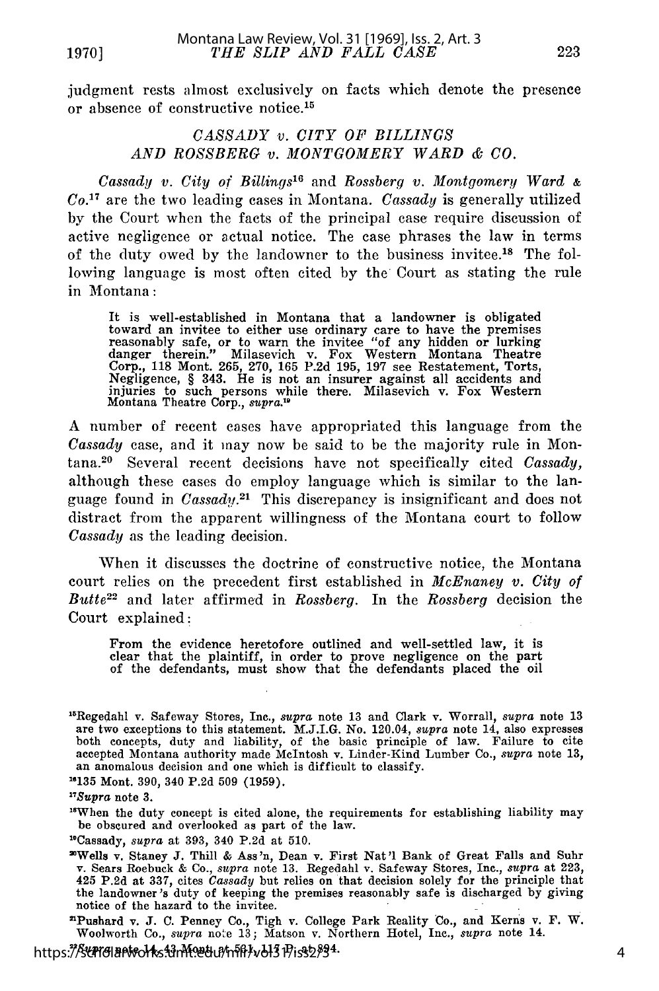judgment rests almost exclusively on facts which denote the presence or absence of constructive notice.<sup>15</sup>

#### *CASSADY v. CITY OF BILLINGS AND ROSSBERG v. MONTGOMERY WARD & CO.*

*Cassady v. City of Billings'6* and *Rossberg v. Montgomery Ward & Co.17* are the two leading cases in Montana. *Cassady* is generally utilized by the Court when the facts of the principal case require discussion of active negligence or actual notice. The case phrases the law in terms of the duty owed by the landowner to the business invitee.<sup>18</sup> The following language is most often cited by the Court as stating the rule in Montana:

It is well-established in Montana that a landowner is obligated toward an invitee to either use ordinary care to have the premises reasonably safe, or to warn the invitee "of any hidden or lurking danger therein." Milasevich v. Fox Western Montana Theatre Corp., 118 Mont. 265, 270, 165 P.2d 195, **197** see Restatement, Torts, Negligence, § 343. He is not an insurer against all accidents and injuries to such persons while there. Milasevich v. Fox Western Montana Theatre Corp., *supra.10*

A number of recent cases have appropriated this language from the *Cassady* case, and it may now be said to be the majority rule in Montana.20 Several recent decisions have not specifically cited *Cassady,* although these cases do employ language which is similar to the language found in *Cassady.*<sup>21</sup> This discrepancy is insignificant and does not distract from the apparent willingness of the Montana court to follow *Cassady* as the leading decision.

When it discusses the doctrine of constructive notice, the Montana court relies on the precedent first established in *McEnaney v. City of Butte22* and later affirmed in *Rossberg.* In the *Rossberg* decision the Court explained:

From the evidence heretofore outlined and well-settled law, it is clear that the plaintiff, in order to prove negligence on the part of the defendants, must show that the defendants placed the oil

**6135** Mont. 390, 340 **P.2d 509 (1959).**

"When the duty concept is cited alone, the requirements for establishing liability may be obscured and overlooked as part of the law.

'Pushard v. **J.** C. Penney Co., Tigh v. College Park Reality Co., and Kerns v. F. W. Woolworth Co., *supra* note **13;** Matson v. Northern Hotel, Inc., *supra* note 14.

https:<del>//Sch</del>olarworks<del>.umt.edu/mnh/vol3</del>1Piss2/34

<sup>&#</sup>x27; 6 Regedahl v. Safeway Stores, Inc., *supra* note **13** and Clark v. Worrall, *supra* note 13 are two exceptions to this statement. M.J.I.G. No. 120.04, *supra* note 14, also expresses both concepts, duty and liability, of the basic principle of law. Failure to cite accepted Montana authority made McIntosh v. Linder-Kind Lumber Co., *supra* note 13, an anomalous decision and one which is difficult to classify.

*<sup>&</sup>quot;Supra* note 3.

<sup>&</sup>quot;Cassady, *supra* at 393, 340 P.2d at 510.

<sup>&#</sup>x27;Wells v. Staney **J.** Thill & Ass *'n,* Dean v. First Nat 'I Bank of Great Falls and Suhr v. Sears Roebuck & Co., *supra* note 13. Regedahl v. Safeway Stores, Inc., *supra* at 223, 425 P.2d at 337, cites *Cassady* but relies on that decision solely for the principle that the landowner's duty of keeping the premises reasonably safe is discharged by giving notice of the hazard to the invitee.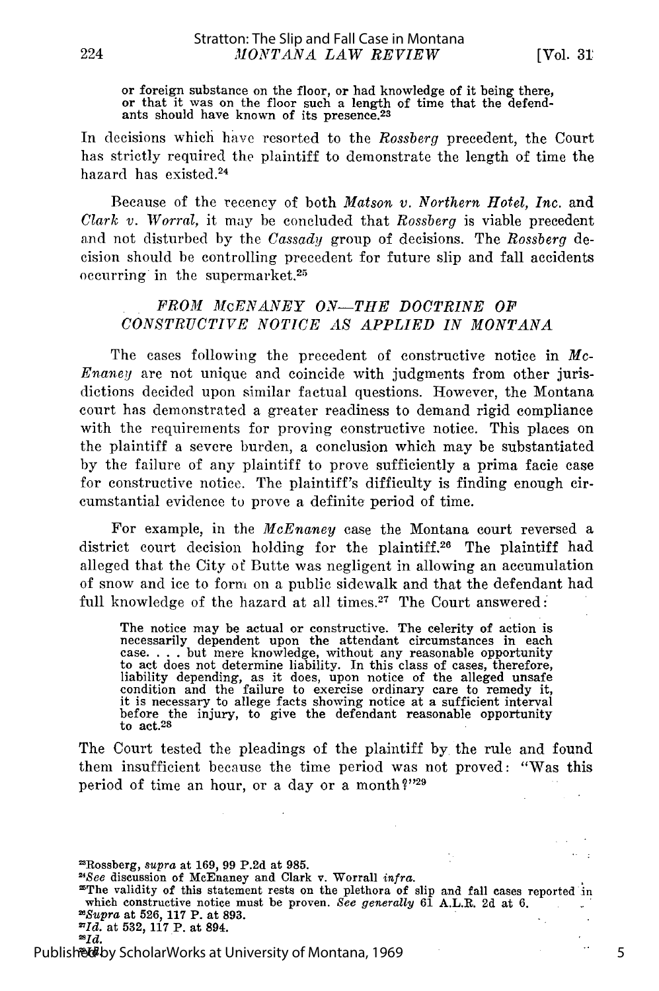or foreign substance on the floor, or had knowledge of it being there or that it was on the floor such a length of time that the defend-<br>ants should have known of its presence.<sup>23</sup>

In decisions which have resorted to the *Rossberg* precedent, the Court has strictly required the plaintiff to demonstrate the length of time the hazard has existed.<sup>24</sup>

Because of the recency of both *Matson v. Northern Hotel, Inc.* and *Clark v. Worral,* it may be concluded that Rossberg is viable precedent and not disturbed by the *Cassady* group of decisions. The *Rossberg* decision should be controlling precedent for future slip and fall accidents occurring in the supermarket. $25$ 

#### *FROM McENANEY ON-THE DOCTRINE OF CONSTRUCTIVE NOTICE AS APPLIED IN MONTANA*

The cases following the precedent of constructive notice in *Mc-Enaney* are not unique and coincide with judgments from other jurisdictions decided upon similar factual questions. However, the Montana court has demonstrated a greater readiness to demand rigid compliance with the requirements for proving constructive notice. This places on the plaintiff a severe burden, a conclusion which may be substantiated by the failure of any plaintiff to prove sufficiently a prima facie case for constructive notice. The plaintiff's difficulty is finding enough circumstantial evidence to prove a definite period of time.

For example, in the *McEnaney* case the Montana court reversed a district court decision holding for the plaintiff.<sup>26</sup> The plaintiff had alleged that the City of Butte was negligent in allowing an accumulation of snow and ice to form on a public sidewalk and that the defendant had full knowledge of the hazard at all times.<sup>27</sup> The Court answered:

The notice may be actual or constructive. The celerity of action is necessarily dependent upon the attendant circumstances in each case ... but mere knowledge, without any reasonable opportunity to act does not determine liability. In this class of cases, therefore, liability depending, as it does, upon notice of the alleged unsafe condition and the failure to exercise ordinary care to remedy it it is necessary to allege facts showing notice at a sufficient interval before the injury, to give the defendant reasonable opportunity to act.<sup>28</sup>

The Court tested the pleadings of the plaintiff by the rule and found them insufficient because the time period was not proved: "Was this period of time an hour, or a day or a month?"29

'Rossberg, *supra* at **169, 99 P.2d** at **985.**

'The validity of this statement rests on the plethora of slip and fall cases reported in which constructive notice must be proven. *See generally* **61** A.L.R. **2d** at **6.** *Supra* at **526, 117** P. at **893.**  $\cdot$ **2Id.** at **532, 117** P. at 894.

224

5

 $\ddotsc$ 

 $\ddotsc$ 

*<sup>&#</sup>x27;See* discussion of McEnaney and Clark v. Worrall *infra.*

*<sup>2</sup>Id.*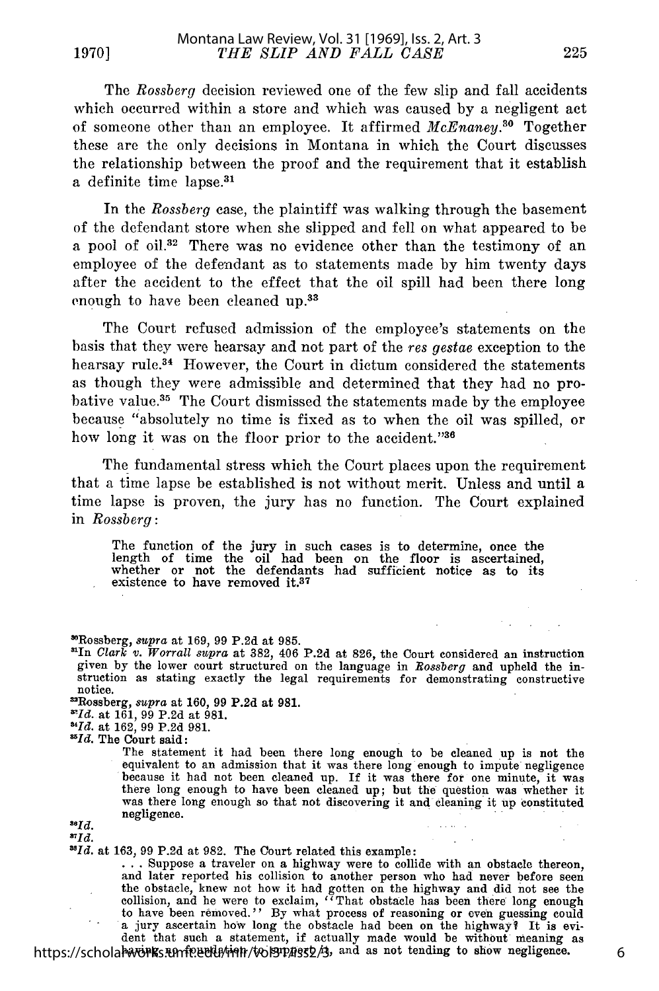The *Rossberg* decision reviewed one of the few slip and fall accidents which occurred within a store and which was caused by a negligent act of someone other than an employee. It affirmed *McEnaney.30* Together these are the only decisions in Montana in which the Court discusses the relationship between the proof and the requirement that it establish a definite time lapse.<sup>31</sup>

In the *Rossberg* case, the plaintiff was walking through the basement of the defendant store when she slipped and fell on what appeared to be a pool of oil.<sup>32</sup> There was no evidence other than the testimony of an employee of the defendant as to statements made by him twenty days after the accident to the effect that the oil spill had been there long enough to have been cleaned **up.33**

The Court refused admission of the employee's statements on the basis that they were hearsay and not part of the *res gestae* exception to the hearsay rule.<sup>34</sup> However, the Court in dictum considered the statements as though they were admissible and determined that they had no probative value.<sup>35</sup> The Court dismissed the statements made by the employee because "absolutely no time is fixed as to when the oil was spilled, or how long it was on the floor prior to the accident."36

The fundamental stress which the Court places upon the requirement that a time lapse be established is not without merit. Unless and until a time lapse is proven, the jury has no function. The Court explained in *Rossberg:*

The function of the jury in such cases is to determine, once the length of time the oil had been on the floor is ascertained, whether or not the defendants had sufficient notice as to its whether or not the defendants had sufficient notice as to its existence to have removed it.<sup>37</sup>

\*'Rossberg, supra at 169, 99 P.2d at 985.

'In *Clark v. Worrall supra* at 382, 406 P.2d at 826, the Court considered an instruction given by the lower court structured on the language in *Bossberg* and upheld the instruction as stating exactly the legal requirements for demonstrating constructive notice.

'Rossberg, *supra* at 160, 99 P.2d at 981. *'Id.* at 161, 99 P.2d at 981.

*'Id.* at 162, 99 P.2d 981.

*'Id.* The Court said:

The statement it had been there long enough to be cleaned up is not the equivalent to an admission that it was there long enough to impute negligence because it had not been cleaned up. If it was there for one minute, it was there long enough to have been cleaned up; but the question was whether it was there long enough so that not discovering it and cleaning it up cons **186** negligence. **10. 10. 10. 10. 10. 10. 10. 10. 10. 10. 10. 10. 10. 10. 10. 10. 10. 10. 10. 10. 10. 10. 10. 10. 10. 10. 10. 10. 10. 10. 10. 10. 10. 10.**

\*1d.<br>\*1d. at 163, 99 P.2d at 982. The Court related this example:

**...** Suppose a traveler on a highway were to collide with an obstacle thereon, and later reported his collision to another person who had never before seen collision, and he were to exclaim, "That obstacle has been there long enough to have been removed." By what process of reasoning or even guessing could a jury ascertain how long the obstacle had been on the highway? It is evi-

dent that such a statement, if actually made would be without meaning as<br>https://scholarworks.umf?edu/min/vol31/highs/2/3, and as not tending to show negligence.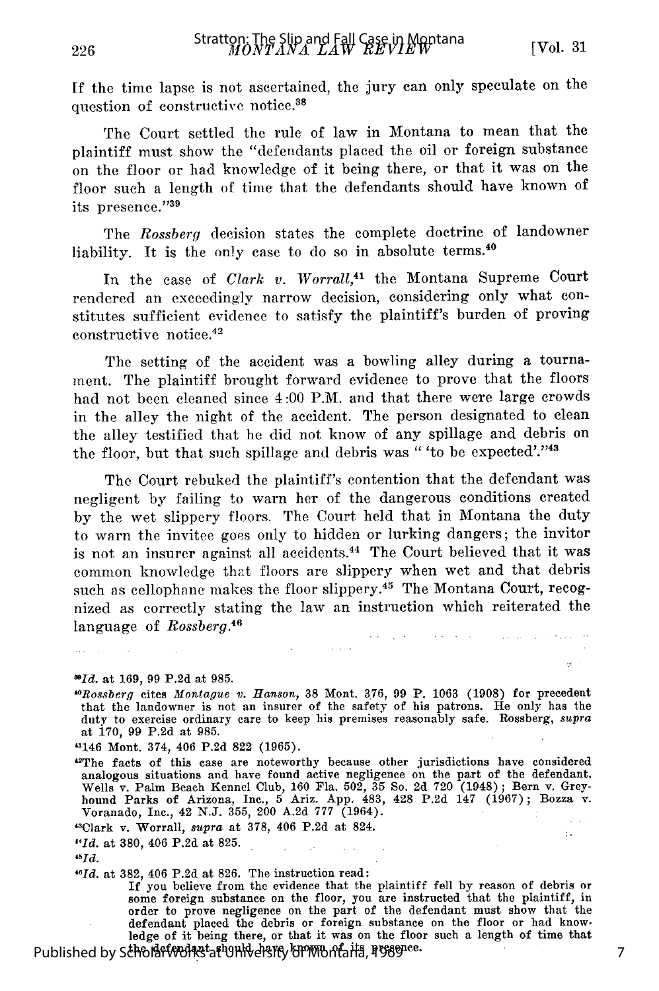If the time lapse is not ascertained, the jury can only speculate on the question of constructive notice.<sup>38</sup>

The Court settled the rule of law in Montana to mean that the plaintiff must show the "defendants placed the oil or foreign substance on the floor or had knowledge of it being there, or that it was on the floor such a length of time that the defendants should have known of its presence. '39

The *Rossberg* decision states the complete doctrine of landowner liability. It is the only case to do so in absolute terms.<sup>4</sup>

In the case of *Clark v. Worrall,41* the Montana Supreme Court rendered an exceedingly narrow decision, considering only what constitutes sufficient evidence to satisfy the plaintiff's burden of proving constructive notice. <sup>42</sup>

The setting of the accident was a bowling alley during a tournament. The plaintiff brought forward evidence to prove that the floors had not been cleaned since 4:00 P.M. and that there were large crowds in the alley the night of the accident. The person designated to clean the alley testified that he did not know of any spillage and debris on the floor, but that such spillage and debris was " 'to be expected'."43

The Court rebuked the plaintiff's contention that the defendant was negligent by failing to warn her of the dangerous conditions created by the wet slippery floors. The Court held that in Montana the duty to warn the invitee goes only to hidden or lurking dangers; the invitor is not an insurer against all accidents.<sup>44</sup> The Court believed that it was common knowledge that floors are slippery when wet and that debris such as cellophane makes the floor slippery.<sup>45</sup> The Montana Court, recognized as correctly stating the law an instruction which reiterated the language of *Rossberg.46* والموارد وواقعوا المرادي

*Id.* at 169, **99 P.2d** at **985.**

*0Rossberg cites Montague v. Hanson,* **38 Mont.** 376, 99 P. 1063 (1908) for precedent that the landowner is not an insurer of the safety of his patrons. He only has the duty to exercise ordinary care to keep his premises reasonably safe. Rossberg, *supra* at 170, 99 P.2d at 985.

"146 Mont. 374, 406 P.2d 822 (1965).

42The facts of this case are noteworthy because other jurisdictions have considered analogous situations and have found active negligence on the part of the defendant. Wells v. Palm Beach Kennel Club, 160 Fla. 502, 35 So. 2d 720 (1948); Bern v. Grey-hound Parks of Arizona, Inc., 5 Ariz. App. 483, 428 P.2d 147 (1967); Bozza v. Voranado, Inc., 42 N.J. 355, 200 A.2d **777** (1964).

"Clark v. Worrall, *supra* at 378, 406 P.2d at 824.

*"Id.* at 380, 406 P.2d at 825.

*ibId.*

*"Id.* at 382, 406 P.2d at 826. The instruction read:

If you believe from the evidence that the plaintiff fell by reason of debris or some foreign substance on the floor, you are instructed that the plaintiff, in order to prove negligence on the part of the defendant must show that the defendant placed the debris or foreign substance on the floor or had know-ledge of it being there, or that it was on the floor such a length of time that

Published by ScholarWorks at University of World of a its presence

 $\pm$  .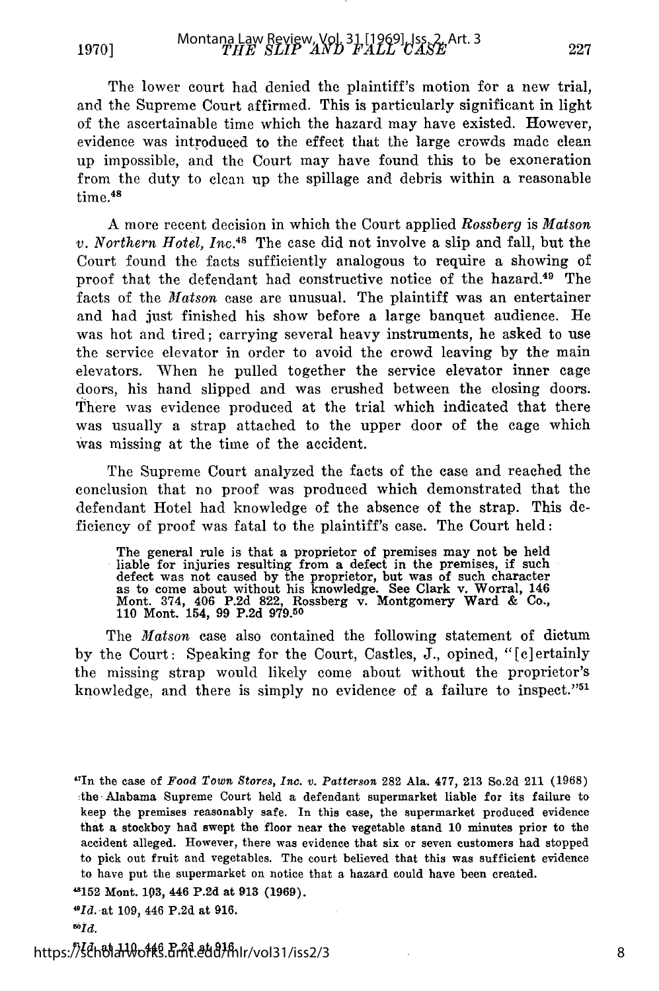The lower court had denied the plaintiff's motion for a new trial, and the Supreme Court affirmed. This is particularly significant in light of the ascertainable time which the hazard may have existed. However, evidence was introduced to the effect that the large crowds made clean up impossible, and the Court may have found this to be exoneration from the duty to clean up the spillage and debris within a reasonable time.<sup>48</sup>

A more recent decision in which the Court applied Rossberg is *Matson v. Northern Hotel,* Inc.48 The case did not involve a slip and fall, but the Court found the facts sufficiently analogous to require a showing of proof that the defendant had constructive notice of the hazard.<sup>49</sup> The facts of the *Matson* case are unusual. The plaintiff was an entertainer and had just finished his show before a large banquet audience. He was hot and tired; carrying several heavy instruments, he asked to use the service elevator in order to avoid the crowd leaving by the main elevators. When he pulled together the service elevator inner cage doors, his hand slipped and was crushed between the closing doors. There was evidence produced at the trial which indicated that there was usually a strap attached to the upper door of the cage which was missing at the time of the accident.

The Supreme Court analyzed the facts of the case and reached the conclusion that no proof was produced which demonstrated that the defendant Hotel had knowledge of the absence of the strap. This deficiency of proof was fatal to the plaintiff's case. The Court held:

The general rule is that a proprietor of premises may not be held liable for injuries resulting from a defect in the premises, if such defect was not caused by the proprietor, but was of such character as to come about without his knowledge. See Clark v. Worral, 146 Mont. 374, 406 P.2d 822, Rossberg v. Montgomery Ward & Co. 110 Mont. 154, 99 P.2d 979.50

The *Matson* case also contained the following statement of dictum by the Court: Speaking for the Court, Castles, **J.,** opined, "[c]ertainly the missing strap would likely come about without the proprietor's knowledge, and there is simply no evidence of a failure to inspect."5'

<sup>&</sup>quot; 7 In the case of *Food Town Stores, Inc.* v. *Patterson* 282 Ala. 477, 213 So.2d 211 (1968) :the Alabama Supreme Court held a defendant supermarket liable for its failure to keep the premises reasonably safe. In this case, the supermarket produced evidence that a stockboy had swept the floor near the vegetable stand **10** minutes prior to the accident alleged. However, there was evidence that six or seven customers had stopped to pick out fruit and vegetables. The court believed that this was sufficient evidence to have put the supermarket on notice that a hazard could have been created.

**<sup>&</sup>quot;152** Mont. **193,** 446 **P.2d** at **913 (1969).**

*<sup>&#</sup>x27;Id.* at **109,** 446 **P.2d** at **916.**

*<sup>5</sup>Id.*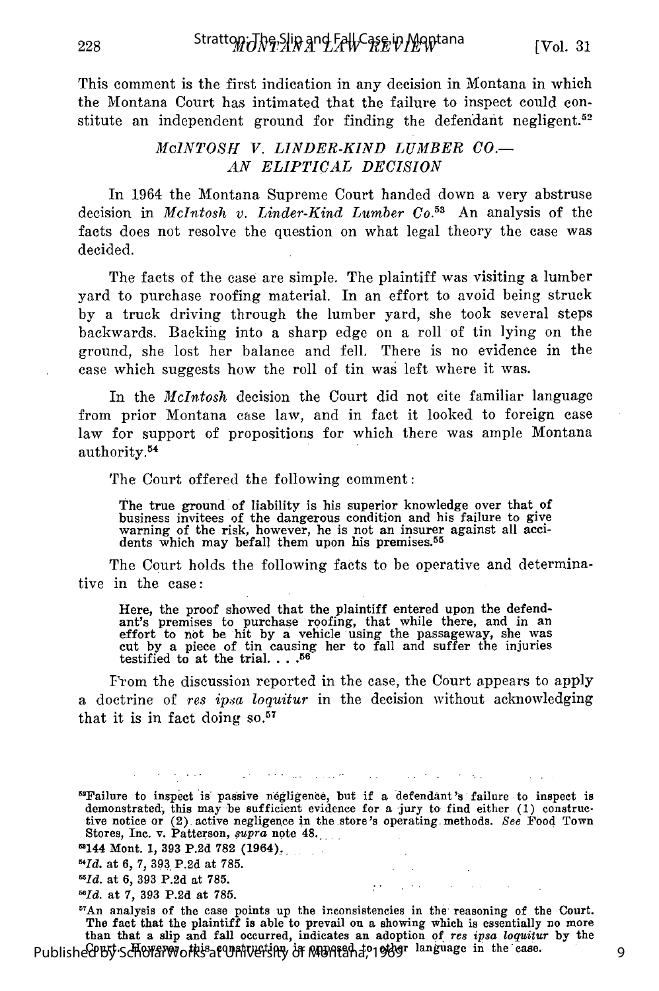This comment is the first indication in any decision in Montana in which the Montana Court has intimated that the failure to inspect could constitute an independent ground for finding the defendant negligent.<sup>52</sup>

#### *McINTOSH V. LINDER-KIND LUMBER CO.- AN ELIPTICAL DECISION*

In 1964 the Montana Supreme Court handed down a very abstruse decision in *McIntosh v. Linder-Kind Lumber Co.<sup>53</sup>*An analysis of the facts does not resolve the question on what legal theory the case was decided.

The facts of the case are simple. The plaintiff was visiting a lumber yard to purchase roofing material. In an effort to avoid being struck by a truck driving through the lumber yard, she took several steps backwards. Backing into a sharp edge on a roll of tin lying on the ground, she lost her balance and fell. There is no evidence in the case which suggests how the roll of tin was left where it was.

In the *McIntosh* decision the Court did not cite familiar language from prior Montana case law, and in fact it looked to foreign case law for support of propositions for which there was ample Montana authority.54

The Court offered the following comment:

The true ground of liability is his superior knowledge over that of business invitees of the dangerous condition and his failure to give warning of the risk, however, he is not an insurer against all acci-<br>dents which may befall them upon his premises.<sup>55</sup>

The Court holds the following facts to be operative and determinative in the case:

Here, the proof showed that the plaintiff entered upon the defend-ant's premises to purchase roofing, that while there, and in an effort to not be hit by a vehicle using the passageway, she was cut by a piece of tin causing her to fall and suffer the injuries testified to at the trial **.... 56**

From the discussion reported in the case, the Court appears to apply a doctrine of *res ipsa loquitur* in the decision without acknowledging that it is in fact doing **so.57**

5 "Failure to inspect is passive negligence, but if a defendant's failure to inspect is demonstrated, this may be sufficient evidence for a jury to find either (1) constructive notice or (2) active negligence in the store's operating. methods. *See* Food Town Stores, Inc. v. Patterson, *supra* note 48.

contract of the state

The control may be considered

 ${}^{57}$ An analysis of the case points up the inconsistencies in the reasoning of the Court. The fact that the plaintiff is able to prevail on a showing which is essentially no more than that a slip and fall occurred, indicates an adoption of res ipsa loquitur by the<br>Published By Scholar Works at University of MURICA 1969<sup>r</sup> language in the case.

9

<sup>1144</sup> Mont. **1, 393 P.2d 782** (1964)..

*<sup>&</sup>quot;Id.* at 6, 7, 393 P.2d at 785.

*<sup>5</sup>Id.* at 6, **393** P.2d at 785.

*Id.* at **7, 393 P.2d** at 785.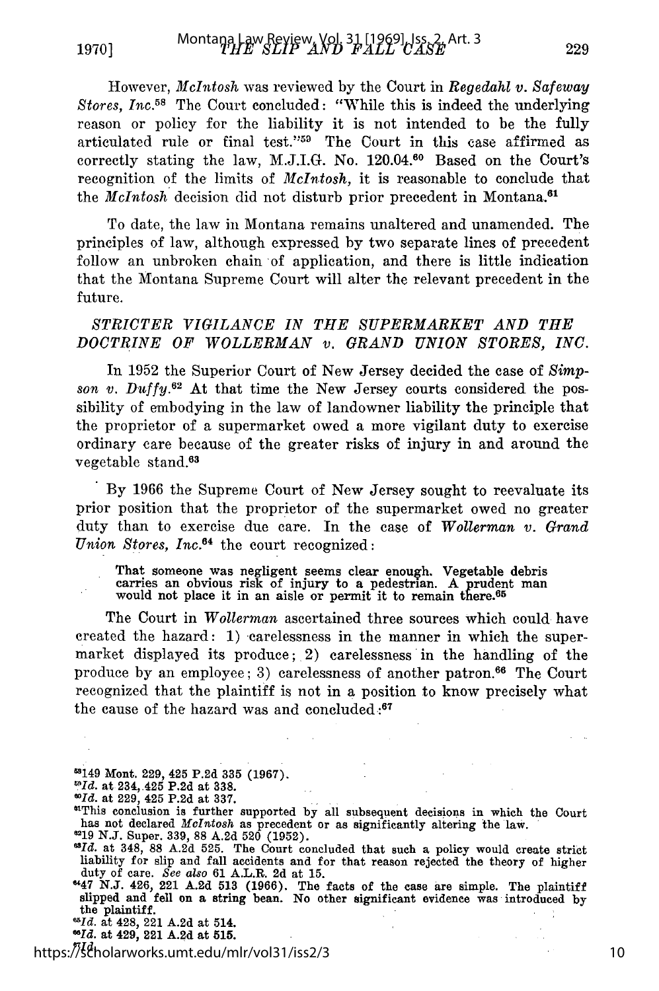However, *McIntosh* was reviewed by the Court in *Regedahl v. Safeway* Stores, Inc.<sup>58</sup> The Court concluded: "While this is indeed the underlying reason or policy for the liability it is not intended to be the fully articulated rule or final test."<sup>59</sup> The Court in this case affirmed as correctly stating the law, M.J.I.G. No. 120.04.0 Based on the Court's recognition of the limits of *McIntosh,* it is reasonable to conclude that the *McIntosh* decision did not disturb prior precedent in Montana.<sup>61</sup>

To date, the law in Montana remains unaltered and unamended. The principles of law, although expressed by two separate lines of precedent follow an unbroken chain of application, and there is little indication that the Montana Supreme Court will alter the relevant precedent in the future.

#### *STRICTER VIGILANCE IN TIIE SUPERMARKET AND THE DOCTRINE OF WOLLERMAN v. GRAND UNION STORES, INC.*

In 1952 the Superior Court of New Jersey decided the case of *Simpson v. DUffy.<sup>s</sup> <sup>2</sup>*At that time the New Jersey courts considered the possibility of embodying in the law of landowner liability the principle that the proprietor of a supermarket owed a more vigilant duty to exercise ordinary care because of the greater risks of injury in and around the vegetable stand.<sup>63</sup>

By 1966 the Supreme Court of New Jersey sought to reevaluate its prior position that the proprietor of the supermarket owed no greater duty than to exercise due care. In the case of *Wollerman v. Grand Union Stores, Inc.64* the court recognized:

That someone was negligent seems clear enough. Vegetable debris carries an obvious risk of injury to a pedestrian. A prudent man<br>would not place it in an aisle or permit it to remain there.<sup>65</sup>

The Court in *Wollerman* ascertained three sources which could have created the hazard: 1) carelessness in the manner in which the supermarket displayed its produce; 2) carelessness in the handling of the produce by an employee; 3) carelessness of another patron.<sup>66</sup> The Court recognized that the plaintiff is not in a position to know precisely what the cause of the hazard was and concluded.:67

- 5149 Mont. **229,** 425 **P.2d** 335 **(1967).**
- *OId.* at 234, 425 P.2d at **338.**
- *wId.* at 229, 425 P.2d at 337.

*"Id.* https://scholarworks.umt.edu/mlr/vol31/iss2/3

<sup>&</sup>quot;This conclusion is further supported by all subsequent decisions in which the Court has not declared *McIntosh* as precedent or as significantly altering the law.<br>
<sup>21</sup>9 **N.J.** Super. 339, 88 A.2d 520 (1952).

<sup>&</sup>lt;sup>37</sup>*d.* at 348, 88 A.2d 525. The Court concluded that such a policy would create stric liability for slip and fall accidents and for that reason rejected the theory of higher duty of care. *See also* 61 A.L.R. 2d at 15.<br> **447 N.J. 426, 221 A.2d 513 (1966).** The facts of the case are simple. The plaintif

slipped and fell on a string bean. No other significant evidence was introduced **by** the plaintiff. *"Id.* at 428, 221 A.2d at 514.

*<sup>&</sup>quot;Id.* at 429, 221 **A.2d** at **515.**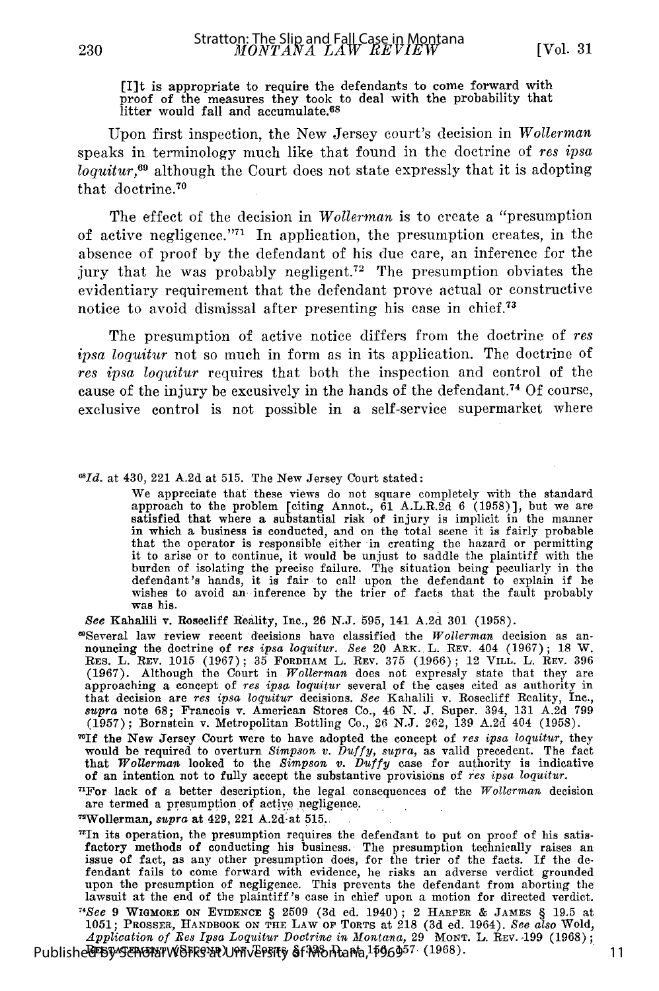# [I]t is appropriate to require the defendants to come forward with proof of the measures they took to deal with the probability that litter would fall and accumulate.<sup>68</sup>

Upon first inspection, the New Jersey court's decision in *Wollerman* speaks in terminology much like that found in the doctrine of *res ipsa loquitur,69* although the Court does not state expressly that it is adopting that doctrine.70

The effect of the decision in *Wollerman* is to create a "presumption of active negligence. $171}$  In application, the presumption creates, in the absence of proof by the defendant of his due care, an inference for the jury that he was probably negligent.<sup>72</sup> The presumption obviates the evidentiary requirement that the defendant prove actual or constructive notice to avoid dismissal after presenting his case in chief.<sup>73</sup>

The presumption of active notice differs from the doctrine of *res ipsa loquitur* not so much in form as in its application. The doctrine of *res ipsa loquitur* requires that both the inspection and control of the cause of the injury be excusively in the hands of the defendant.74 Of course, exclusive control is not possible in a self-service supermarket where

*'Id.* at 430, 221 A.2d at 515. The New Jersey Court stated:

We appreciate that these views do not square completely with the standard approach to the problem [citing Annot.,  $\hat{6}1$  A.L.R. $\hat{2d}$  6 (1958)], but we are satisfied that where a substantial risk of injury is implicit in the manner in which a business is conducted, and on the total scene it is fairly probable that the operator is responsible either in creating the hazard or permitting it to arise or to continue, it would be unjust to saddle the plaintiff with the burden of isolating the precise failure. The situation being peculiarly in the defendant's hands, it is fair to call upon the defendant to exp was his.

See Kahalili v. Rosecliff Reality, Inc., **26 N.J.** 595, 141 A.2d 301 (1958).

- Several law review recent decisions have classified the Wollerman decision as an nouncing the doctrine of res ipsa loquitur. See 20 ARK. L. REV. 404 (1967); 18 W. RES. L. REV. 1015 (1967); 35 FORDHAM L. REV. 375 (1966); 12 (1967). Although the Court in Wollerman does not expressly state that they are<br>approaching a concept of res ipsa loquitur several of the cases cited as authority in<br>that decision are res ipsa loquitur decisions. See Kahali (1957); Bornstein v. Metropolitan Bottling Co., 26 N.J. 262, 139 A.2d 404 (1958).
- **7If** the New Jersey Court were to have adopted the concept of res *ipsa loquitur,* they would be required to overturn *Simpson* v. *Duffy,* supra, as valid precedent. The fact that *Wollerman* looked to the *Simpson* v. *Duffy* case for authority is indicative of an intention not to fully accept the substantive provisions of res *ipsa loquitur*.
- "For lack of a better description, the legal consequences of the  $Wollerman$  decision are termed a presumption of active negligence.

"Wollerman, *supra* at 429, 221 A.2d-at 515.

 $"In$  its operation, the presumption requires the defendant to put on proof of his satisfactory methods of conducting his business. The presumption technically raises an issue of fact, as any other presumption does, for the trier of the facts. If the defendant fails to come forward with evidence, he risks an adverse verdict grounded<br>upon the presumption of negligence. This prevents the defendant from aborting the<br>lawsuit at the end of the plaintiff's case in chief upon a

*71See* 9 WIGMOR] ON **EVIDENCE** § 2509 (3d ed. 1940); 2 HARPER & **JAMES** § 19.5 at 1051; PROSSER, **HANDBOOK ON THE** LAW OF **TORTS** at 218 (3d ed. 1964). *See also* Wold, *Application of* Res *Ipsa Loquitur Doctrine in Montana,* 29 MONT. L. REV. **-199** (1968); Publishe<sup>r</sup> By Sems at WSFR932 UPH EPSITY 6f398 Phana, 1596957 (1968)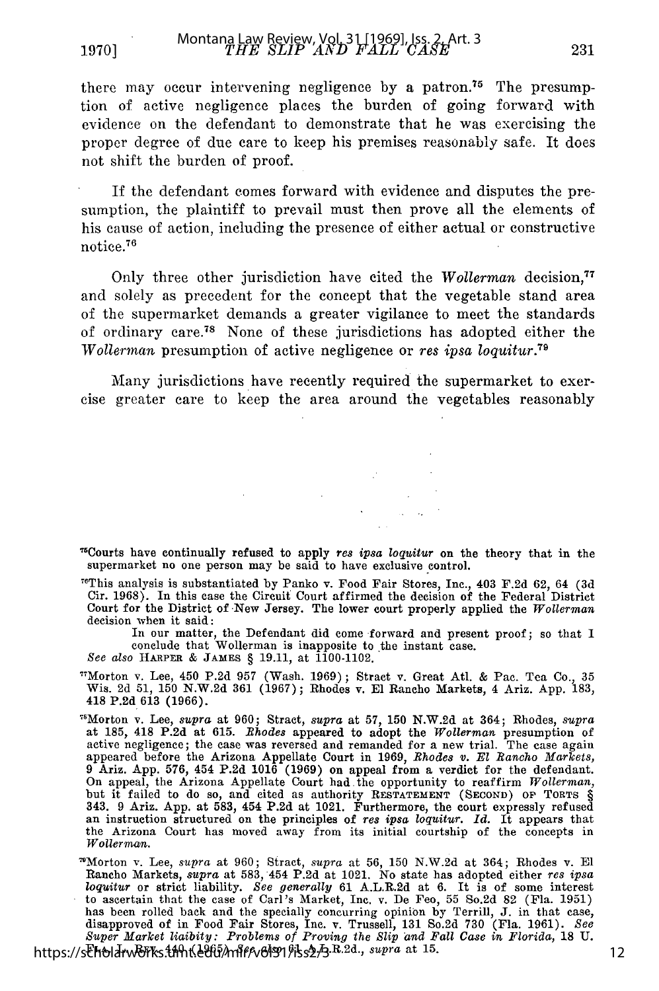there may occur intervening negligence by a patron.<sup>75</sup> The presumption of active negligence places the burden of going forward with evidence on the defendant to demonstrate that he was exercising the proper degree of due care to keep his premises reasonably safe. It does not shift the burden of proof.

If the defendant comes forward with evidence and disputes the presumption, the plaintiff to prevail must then prove all the elements of his cause of action, including the presence of either actual or constructive notice.76

Only three other jurisdiction have cited the *Wollerman* decision,<sup>77</sup> and solely as precedent for the concept that the vegetable stand area of the supermarket demands a greater vigilance to meet the standards of ordinary care. 78 None of these jurisdictions has adopted either the *Wollerman* presumption of active negligence or *res ipsa loquitur.79*

Many jurisdictions have recently required the supermarket to exercise greater care to keep the area around the vegetables reasonably

<sup>76</sup>This analysis is substantiated by Panko v. Food Fair Stores, Inc., 403 F.2d 62, 64 (3d Cir. 1968). In this case the Circuit Court affirmed the decision of the Federal District Court for the District of New Jersey. The lower court properly applied the *Wollerman* decision when it said:

In our matter, the Defendant did come forward and present proof; so that I conclude that Wollerman is inapposite to the instant case

*See also* **HARPER & JAMES** § 19.11, at 1100-1102.

7Morton v. Lee, 450 P.2d 957 (Wash. 1969); Stract v. Great Atl. & Pac. Tea Co., 35 Wis. 2d 51, 150 N.W.2d 361 (1967); Rhodes v. **El** Rancho Markets, 4 Ariz. App. 183, 418 P.2d 613 (1966).

7Morton v. Lee, *supra* at 960; Stract, *supra* at 57, 150 N.W.2d at 364; Rhodes, *supra* at 185, 418 P.2d at 615. *Rhodes* appeared to adopt the *Wollerman* presumption of active negligence; the case was reversed and remanded for a new trial. The case again appeared before the Arizona Appellate Court in 1969, *Rhodes v. El Rancho Markets,* 9 Ariz. App. 576, 454 P.2d 1016 (1969) on appeal from a verdict for the defendant. On appeal, the Arizona Appellate Court had the opportunity to reaffirm *Wollerman,* but it failed to do so, and cited as authority RESTATEMENT **(SECOND)** op TORTS § 343. 9 Ariz. **App.** at **583,** 454 P.2d at 1021. Furthermore, the court expressly refused an instruction structured on the principles of *res ipsa loquitur. Id.* It appears that an instruction structured on the principles of res ipsa loquitur. Id. It appears that the Arizona Court has moved away from its initial courtship of the concepts in *Wollernan.*

"Morton v. Lee, *supra* at 960; Stract, *supra* at 56, 150 N.W.2d at 364; Rhodes v. **El** Rancho Markets, *supra* at 583, 454 P.2d at 1021. No state has adopted either *res ipsa loquitur* or strict liability. *See generally* **61** A.L.R.2d at 6. It is of some interest to ascertain that the case of Carl's Market, Inc. v. De Feo, 55 So.2d 82 (Fla. 1951) has been rolled back and the specially concurring opinion by Terrill, J. in that case<br>disapproved of in Food Fair Stores, Inc. v. Trussell, 131 So.2d 730 (Fla. 1961). See<br>Super Market liaibity: Problems of Proving the Slip https://s<del>cho</del>larworks.um/veedu/mlf/vol31/jss2/3.B.2d., *supra* at 15.

<sup>15</sup>Courts have continually refused to apply *res ipsa loquitur* on the theory that in the supermarket no one person may be said to have exclusive control.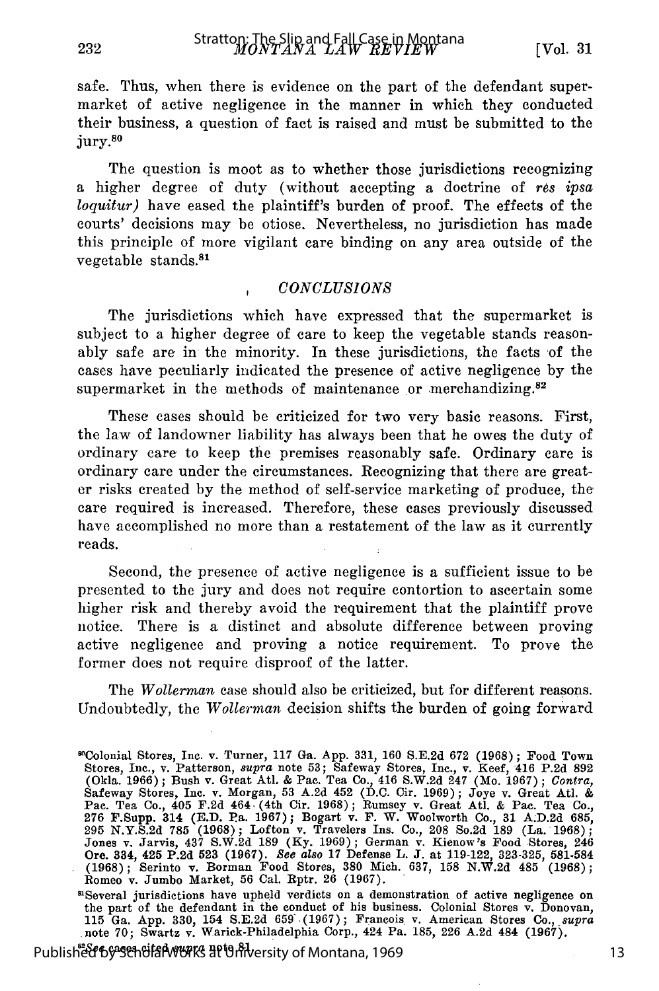safe. Thus, when there is evidence on the part of the defendant supermarket of active negligence in the manner in which they conducted their business, a question of fact is raised and must be submitted to the jury.80

The question is moot as to whether those jurisdictions recognizing a higher degree of duty (without accepting a doctrine of *res ipsa loquitur)* have eased the plaintiff's burden of proof. The effects of the courts' decisions may be otiose. Nevertheless, no jurisdiction has made this principle of more vigilant care binding on any area outside of the vegetable stands.<sup>81</sup>

#### *CONCLUSIONS*

The jurisdictions which have expressed that the supermarket is subject to a higher degree of care to keep the vegetable stands reasonably safe are in the minority. In these jurisdictions, the facts of the cases have peculiarly indicated the presence of active negligence by the supermarket in the methods of maintenance or merchandizing. $82$ 

These cases should be criticized for two very basic reasons. First, the law of landowner liability has always been that he owes the duty of ordinary care to keep the premises reasonably safe. Ordinary care is ordinary care under the circumstances. Recognizing that there are greater risks created by the method of self-service marketing of produce, the care required is increased. Therefore, these cases previously discussed have accomplished no more than a restatement of the law as it currently reads.

Second, the presence of active negligence is a sufficient issue to be presented to the jury and does not require contortion to ascertain some higher risk and thereby avoid the requirement that the plaintiff prove notice. There is a distinct and absolute difference between proving active negligence and proving a notice requirement. To prove the former does not require disproof of the latter.

The *Wollerman* case should also be criticized, but for different reasons. Undoubtedly, the *Wollerman* decision shifts the burden of going forward

the part of the defendant in the conduct of his business. Colonial Stores v. Donovan, 115 Ga. App. 330, 154 S.E.2d 659. (1967); Francois. v. American Stores Co., *supra* .note 70; Swartz v. Warick-Philadelphia Corp., 424 Pa. 185, **226** A.2d 484 (1967).

Publish<del>ໍຂໍໃ1</del>රଙ<del>୍ଗ SehBlaWorks</del> at University of Montana, 1969

<sup>8</sup>OColonial Stores, Inc. v. Turner, **117** Ga. **App.** 331, **160** S.E.2d **672** (1968); Food Town Stores, Inc., v. Patterson, *supra* note 53; Safeway Stores, Inc., v. Keef, 416 P.2d 892 (Okla. 1966); Bush v. Great Atl. & Pac. Tea Co., 416 S.W.2d 247 (Mo. 1967); *Contra,* Safeway Stores, Inc. v. Morgan, 53 A.2d 452 (D.C. Cir. 1969); Joye v. Great Atl. & Pac. Tea Co., 405 **F.2d** 464, (4th Cir. 1968); Rumsey v. Great Atl. & Pac. Tea Co., 276 F.Supp. 314 **(E.D. Pa.** 1967); Bogart v. F. W. Woolworth Co., **31** A.D.2d 685, **295** N.Y.S.2d 785 (1968); Lofton v. Travelers Ins. Co., 208 So.2d 189 (La. 1968); Jones v. Jarvis, 437 S.W.2d 189 (Ky. 1969); German v. Kienow's Food Stores, 246 Ore. **334,** 425 **P.2d 523 (1967).** *See also* **17** Defense L. **J.** at **119-122, 323-325, 581-584** (1968); Serinto v. Borman Food Stores, 380 Mich. 637, 158 N.W.2d 485 (1968)<br>Romeo v. Jumbo Market, 56 Cal. Rptr. 26 (1967).<br><sup>81</sup>Several iurisdictions have unheld verdicts on a demonstration of active negligence of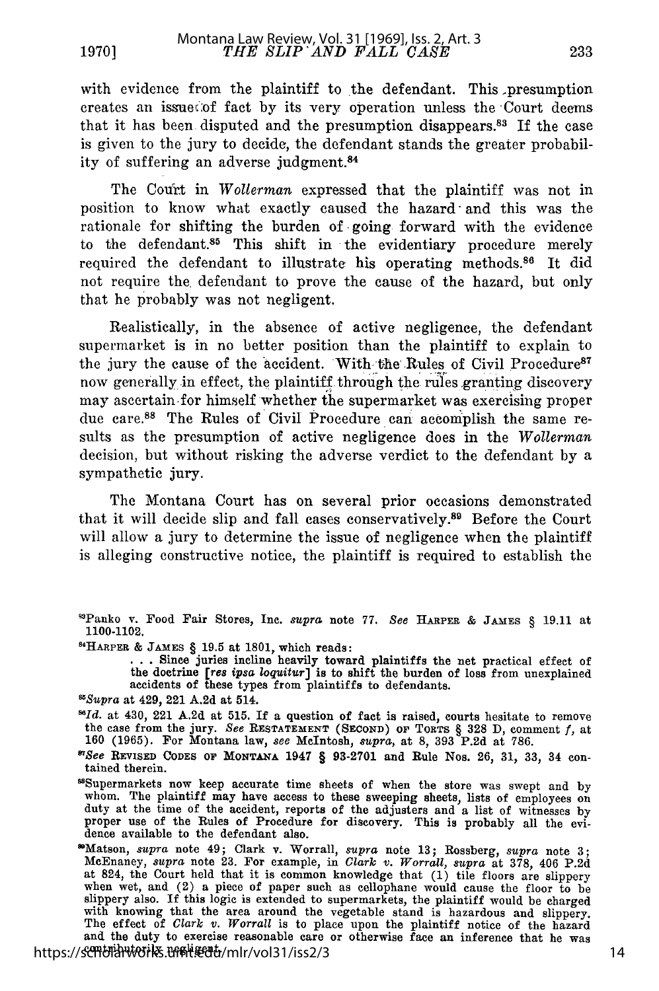with evidence from the plaintiff to the defendant. This presumption creates an issue :of fact by its very operation unless the Court deems that it has been disputed and the presumption disappears.83 If the case is given to the jury to decide, the defendant stands the greater probability of suffering an adverse judgment.<sup>84</sup>

The Court in *Wollerman* expressed that the plaintiff was not in position to know what exactly caused the hazard- and this was the rationale for shifting the burden of going forward with the evidence to the defendant.<sup>85</sup> This shift in the evidentiary procedure merely required the defendant to illustrate his operating methods.<sup>86</sup> It did not require the defendant to prove the cause of the hazard, but only that he probably was not negligent.

Realistically, in the absence of active negligence, the defendant supermarket is in no better position than the plaintiff to explain to the jury the cause of the accident. With the Rules of Civil Procedure<sup>87</sup> now generally in effect, the plaintiff through the rules granting discovery may ascertain-for himself whether the supermarket was exercising proper due care.88 The Rules of Civil Procedure can accomplish the same results as the presumption of active negligence does in the *Wollerman* decision, but without risking the adverse verdict to the defendant by a sympathetic jury.

The Montana Court has on several prior occasions demonstrated that it will decide slip and fall cases conservatively.89 Before the Court will allow a jury to determine the issue of negligence when the plaintiff is alleging constructive notice, the plaintiff is required to establish the

14HARPER **& JAMES** § **19.5** at **1801,** which reads: **. . .** Since juries incline heavily toward plaintiffs the net practical effect of the doctrine *[res ipsa loquitur]* is to shift the burden of loss from unexplained accidents of these types from plaintiffs to defendants.

*O'See* **REVISED CODES OF MONTANA** 1947 § 93-2701 and Rule Nos. 26, 31, 33, 34 con- tained therein.

'Supermarkets now keep accurate time sheets of when the store was swept and by whom. The plaintiff may have access to these sweeping sheets, lists of employees on duty at the time of the accident, reports of the adjusters and a list of witnesses by proper use of the Rules of Procedure for discovery. This is probably all the evidence available to the defendant also.

'Matson, *supra* note 49; Clark v. Worrall, *supra* note 13; Rossberg, *supra* note 3; MeEnaney, *supra* note 23. For example, in *Clark v. Worrall, supra* at 378, 406 P.2d at 824, the Court held that it is common knowledge that **(1)** tile floors are slippery when wet, and (2) a piece of paper such as cellophane would cause the floor to be slippery also. If this logic is extended to supermarkets, the plaintiff would be charged with knowing that the area around the vegetable stand is hazardous and slippery. The effect of *Clark v. Worrall* is to place upon the plaintiff notice of the hazard and the duty to exercise reasonable care or otherwise face an inference that he was contributorily negligent. https://scholarworks.umt.edu/mlr/vol31/iss2/3

<sup>&#</sup>x27;Panko v. Food Fair Stores, Inc. *supra* note 77. *See* **HARPER &** JAMES § **19.11** at 1100-1102.

*<sup>&#</sup>x27;Supra* at 429, 221 A.2d at 514.

 $^{56}Id.$  at 430, 221 A.2d at 515. If a question of fact is raised, courts hesitate to remove **160** (1965). For Montana law, *see* McIntosh, *supra,* **at** 8, 393 P.2d at 786.